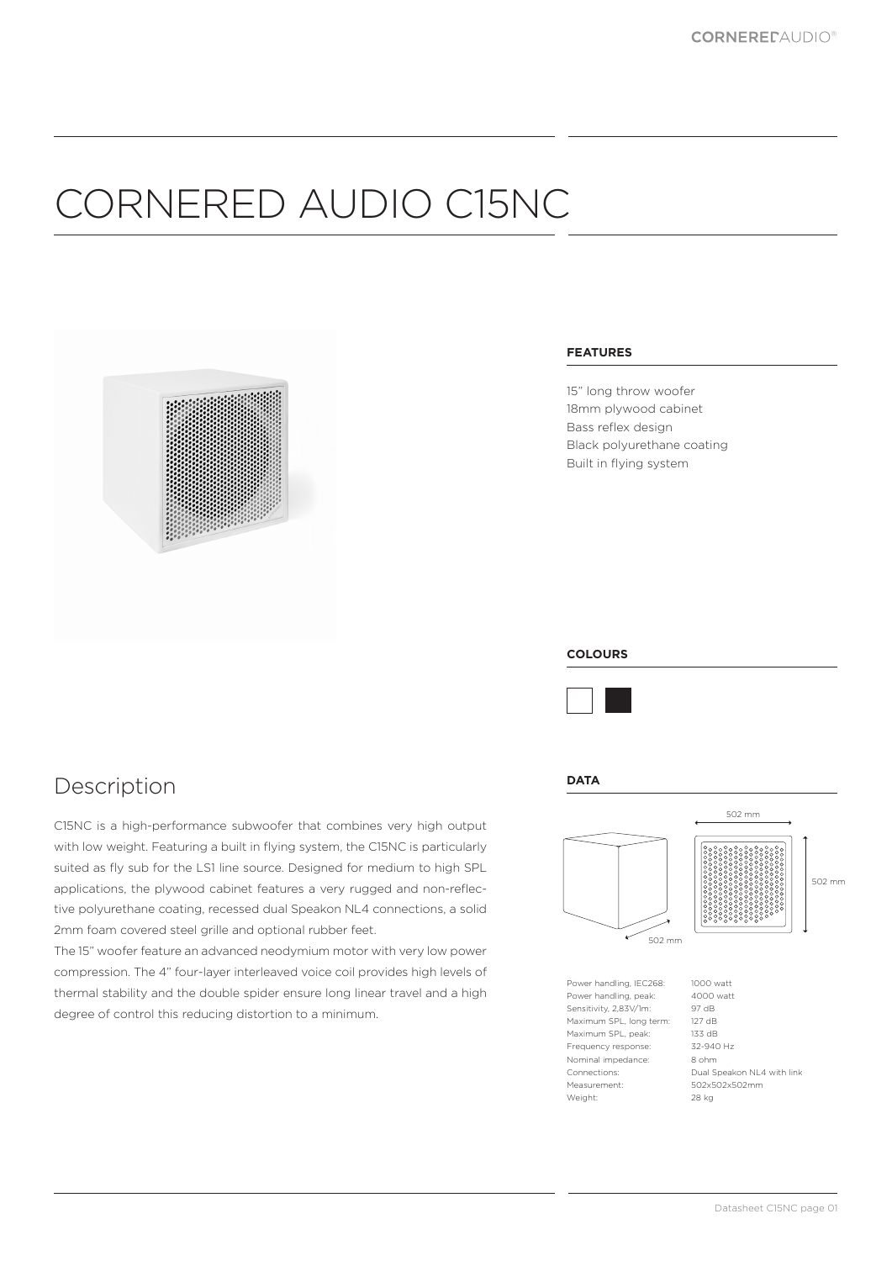# CORNERED AUDIO C15NC



#### **FEATURES**

15" long throw woofer 18mm plywood cabinet Bass reflex design Black polyurethane coating Built in flying system

### **COLOURS**



#### **DATA**



### Description

C15NC is a high-performance subwoofer that combines very high output with low weight. Featuring a built in flying system, the C15NC is particularly suited as fly sub for the LS1 line source. Designed for medium to high SPL applications, the plywood cabinet features a very rugged and non-reflective polyurethane coating, recessed dual Speakon NL4 connections, a solid 2mm foam covered steel grille and optional rubber feet.

The 15" woofer feature an advanced neodymium motor with very low power compression. The 4" four-layer interleaved voice coil provides high levels of thermal stability and the double spider ensure long linear travel and a high degree of control this reducing distortion to a minimum.